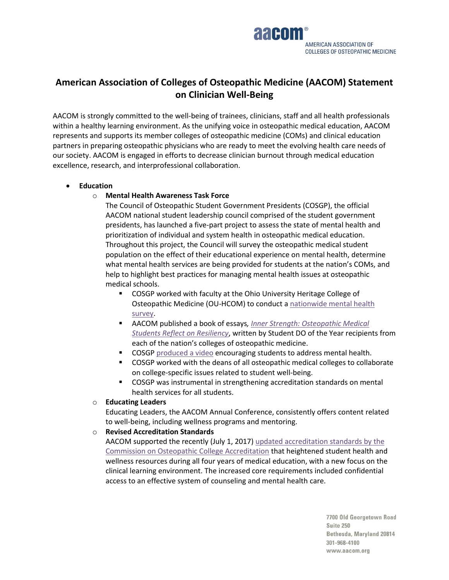

# **American Association of Colleges of Osteopathic Medicine (AACOM) Statement on Clinician Well-Being**

AACOM is strongly committed to the well-being of trainees, clinicians, staff and all health professionals within a healthy learning environment. As the unifying voice in osteopathic medical education, AACOM represents and supports its member colleges of osteopathic medicine (COMs) and clinical education partners in preparing osteopathic physicians who are ready to meet the evolving health care needs of our society. AACOM is engaged in efforts to decrease clinician burnout through medical education excellence, research, and interprofessional collaboration.

## • **Education**

# o **Mental Health Awareness Task Force**

The Council of Osteopathic Student Government Presidents (COSGP), the official AACOM national student leadership council comprised of the student government presidents, has launched a five-part project to assess the state of mental health and prioritization of individual and system health in osteopathic medical education. Throughout this project, the Council will survey the osteopathic medical student population on the effect of their educational experience on mental health, determine what mental health services are being provided for students at the nation's COMs, and help to highlight best practices for managing mental health issues at osteopathic medical schools.

- COSGP worked with faculty at the Ohio University Heritage College of Osteopathic Medicine (OU-HCOM) to conduct [a nationwide mental health](http://www.aacom.org/news-and-events/press-releases-and-statements/2016/05/11/051116_MHTF)  [survey.](http://www.aacom.org/news-and-events/press-releases-and-statements/2016/05/11/051116_MHTF)
- AACOM published a book of essays, *Inner Strength: Osteopathic Medical [Students Reflect on Resiliency](https://netforum.avectra.com/eweb/shopping/shopping.aspx?site=aacom&webcode=shopping&prd_key=e5e9eea0-5859-4b96-a4bf-f8583f3d577e)*, written by Student DO of the Year recipients from each of the nation's colleges of osteopathic medicine.
- COSGP [produced a](https://www.youtube.com/watch?v=yTDXZf5cGIw) video encouraging students to address mental health.
- COSGP worked with the deans of all osteopathic medical colleges to collaborate on college-specific issues related to student well-being.
- COSGP was instrumental in strengthening accreditation standards on mental health services for all students.
- o **Educating Leaders**

Educating Leaders, the AACOM Annual Conference, consistently offers content related to well-being, including wellness programs and mentoring.

## o **Revised Accreditation Standards**

AACOM supported the recently (July 1, 2017) updated accreditation standards by the [Commission on Osteopathic College Accreditation](http://www.osteopathic.org/inside-aoa/accreditation/COM-accreditation/Documents/com-continuing-accreditation-standards.pdf) that heightened student health and wellness resources during all four years of medical education, with a new focus on the clinical learning environment. The increased core requirements included confidential access to an effective system of counseling and mental health care.